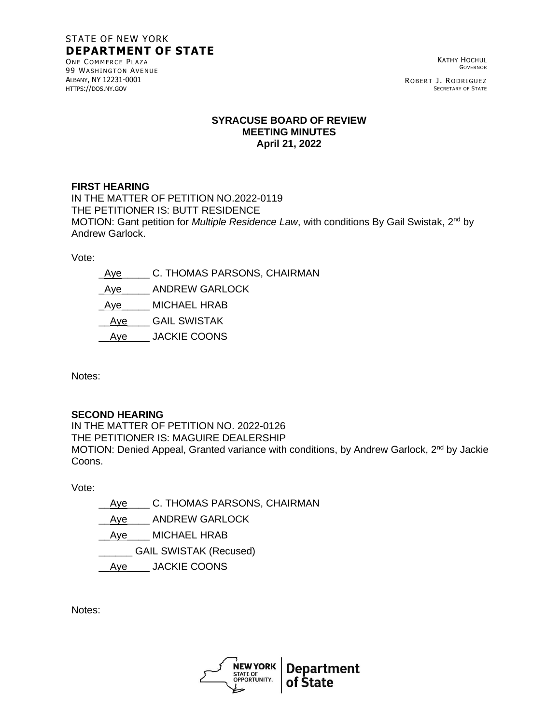# STATE OF NEW YORK **DEPARTMENT OF STATE**

ONE COMMERCE PLAZA 99 WASHINGTON AVENUE ALBANY, NY 12231-0001 HTTPS://DOS.NY.GOV

KATHY HOCHUL GOVERNOR

ROBERT J. RODRIGUEZ SECRETARY OF STATE

#### **SYRACUSE BOARD OF REVIEW MEETING MINUTES April 21, 2022**

### **FIRST HEARING**

IN THE MATTER OF PETITION NO.2022-0119 THE PETITIONER IS: BUTT RESIDENCE MOTION: Gant petition for *Multiple Residence Law*, with conditions By Gail Swistak, 2<sup>nd</sup> by Andrew Garlock.

Vote:

Aye C. THOMAS PARSONS, CHAIRMAN Aye ANDREW GARLOCK Aye MICHAEL HRAB \_\_Aye\_\_\_\_ GAIL SWISTAK Aye\_\_\_\_\_ JACKIE COONS

Notes:

## **SECOND HEARING**

IN THE MATTER OF PETITION NO. 2022-0126 THE PETITIONER IS: MAGUIRE DEALERSHIP MOTION: Denied Appeal, Granted variance with conditions, by Andrew Garlock, 2<sup>nd</sup> by Jackie Coons.

Vote:

Aye C. THOMAS PARSONS, CHAIRMAN Aye ANDREW GARLOCK Aye\_\_\_\_ MICHAEL HRAB \_\_\_\_\_\_ GAIL SWISTAK (Recused) Aye\_\_\_\_\_ JACKIE COONS

Notes: